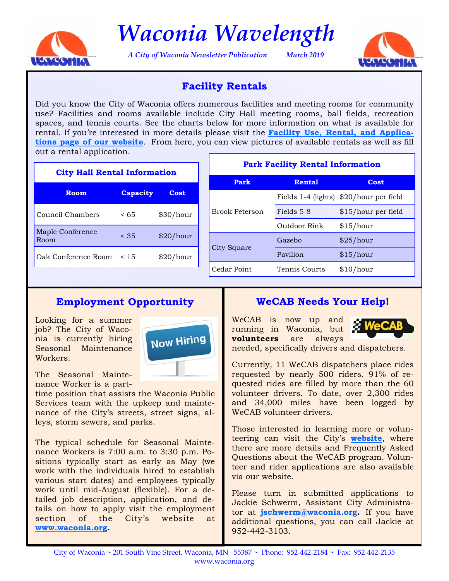

*Waconia Wavelength* 

*A City of Waconia Newsletter Publication March 2019* 



## **Facility Rentals**

Did you know the City of Waconia offers numerous facilities and meeting rooms for community use? Facilities and rooms available include City Hall meeting rooms, ball fields, recreation spaces, and tennis courts. See the charts below for more information on what is available for rental. If you're interested in more details please visit the **[Facility Use, Rental, and Applica](https://www.waconia.org/347/Facility-Use-Rental-Applications)[tions page of our website](https://www.waconia.org/347/Facility-Use-Rental-Applications)**. From here, you can view pictures of available rentals as well as fill out a rental application.

| <b>City Hall Rental Information</b> |                 |           |  | <b>Park Facility Rental Information</b> |                     |                     |
|-------------------------------------|-----------------|-----------|--|-----------------------------------------|---------------------|---------------------|
|                                     |                 |           |  | Park                                    | <b>Rental</b>       | <b>Cost</b>         |
| <b>Room</b>                         | <b>Capacity</b> | Cost      |  | <b>Brook Peterson</b>                   | Fields 1-4 (lights) | \$20/hour per field |
| Council Chambers                    | < 65            | \$30/hour |  |                                         | Fields 5-8          | \$15/hour per field |
| Maple Conference                    |                 |           |  |                                         | Outdoor Rink        | \$15/hour           |
| Room                                | < 35            | \$20/hour |  | City Square                             | Gazebo              | \$25/hour           |
| Oak Conference Room                 | < 15            | \$20/hour |  |                                         | Pavilion            | \$15/hour           |
|                                     |                 |           |  | Cedar Point                             | Tennis Courts       | \$10/hour           |

# **Employment Opportunity**

Looking for a summer job? The City of Waconia is currently hiring Seasonal Maintenance Workers.



The Seasonal Maintenance Worker is a part-

time position that assists the Waconia Public Services team with the upkeep and maintenance of the City's streets, street signs, alleys, storm sewers, and parks.

The typical schedule for Seasonal Maintenance Workers is 7:00 a.m. to 3:30 p.m. Positions typically start as early as May (we work with the individuals hired to establish various start dates) and employees typically work until mid-August (flexible). For a detailed job description, application, and details on how to apply visit the employment section of the City's website at **[www.waconia.org.](https://www.waconia.org/jobs.aspx)** 

## **WeCAB Needs Your Help!**

WeCAB is now up and running in Waconia, but **volunteers** are always



needed, specifically drivers and dispatchers.

Currently, 11 WeCAB dispatchers place rides requested by nearly 500 riders. 91% of requested rides are filled by more than the 60 volunteer drivers. To date, over 2,300 rides and 34,000 miles have been logged by WeCAB volunteer drivers.

Those interested in learning more or volunteering can visit the City's **[website](http://www.waconia.org/456/Senior-Resources)**, where there are more details and Frequently Asked Questions about the WeCAB program. Volunteer and rider applications are also available via our website.

Please turn in submitted applications to Jackie Schwerm, Assistant City Administrator at **[jschwerm@waconia.org.](mailto: jschwerm@waconia.org)** If you have additional questions, you can call Jackie at 952-442-3103.